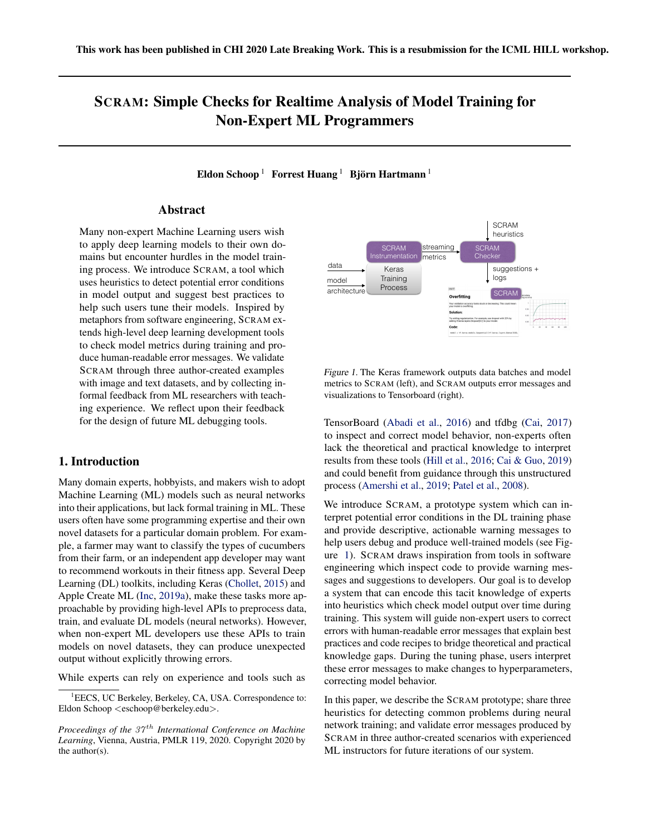# <span id="page-0-0"></span>SCRAM: Simple Checks for Realtime Analysis of Model Training for Non-Expert ML Programmers

Eldon Schoop  $^1$  Forrest Huang  $^1$  Björn Hartmann  $^1$ 

## Abstract

Many non-expert Machine Learning users wish to apply deep learning models to their own domains but encounter hurdles in the model training process. We introduce SCRAM, a tool which uses heuristics to detect potential error conditions in model output and suggest best practices to help such users tune their models. Inspired by metaphors from software engineering, SCRAM extends high-level deep learning development tools to check model metrics during training and produce human-readable error messages. We validate SCRAM through three author-created examples with image and text datasets, and by collecting informal feedback from ML researchers with teaching experience. We reflect upon their feedback for the design of future ML debugging tools.

## 1. Introduction

Many domain experts, hobbyists, and makers wish to adopt Machine Learning (ML) models such as neural networks into their applications, but lack formal training in ML. These users often have some programming expertise and their own novel datasets for a particular domain problem. For example, a farmer may want to classify the types of cucumbers from their farm, or an independent app developer may want to recommend workouts in their fitness app. Several Deep Learning (DL) toolkits, including Keras [\(Chollet,](#page-4-0) [2015\)](#page-4-0) and Apple Create ML [\(Inc,](#page-4-0) [2019a\)](#page-4-0), make these tasks more approachable by providing high-level APIs to preprocess data, train, and evaluate DL models (neural networks). However, when non-expert ML developers use these APIs to train models on novel datasets, they can produce unexpected output without explicitly throwing errors.

While experts can rely on experience and tools such as



Figure 1. The Keras framework outputs data batches and model metrics to SCRAM (left), and SCRAM outputs error messages and visualizations to Tensorboard (right).

TensorBoard [\(Abadi et al.,](#page-4-0) [2016\)](#page-4-0) and tfdbg [\(Cai,](#page-4-0) [2017\)](#page-4-0) to inspect and correct model behavior, non-experts often lack the theoretical and practical knowledge to interpret results from these tools [\(Hill et al.,](#page-4-0) [2016;](#page-4-0) [Cai & Guo,](#page-4-0) [2019\)](#page-4-0) and could benefit from guidance through this unstructured process [\(Amershi et al.,](#page-4-0) [2019;](#page-4-0) [Patel et al.,](#page-5-0) [2008\)](#page-5-0).

We introduce SCRAM, a prototype system which can interpret potential error conditions in the DL training phase and provide descriptive, actionable warning messages to help users debug and produce well-trained models (see Figure 1). SCRAM draws inspiration from tools in software engineering which inspect code to provide warning messages and suggestions to developers. Our goal is to develop a system that can encode this tacit knowledge of experts into heuristics which check model output over time during training. This system will guide non-expert users to correct errors with human-readable error messages that explain best practices and code recipes to bridge theoretical and practical knowledge gaps. During the tuning phase, users interpret these error messages to make changes to hyperparameters, correcting model behavior.

In this paper, we describe the SCRAM prototype; share three heuristics for detecting common problems during neural network training; and validate error messages produced by SCRAM in three author-created scenarios with experienced ML instructors for future iterations of our system.

<sup>&</sup>lt;sup>1</sup>EECS, UC Berkeley, Berkeley, CA, USA. Correspondence to: Eldon Schoop <eschoop@berkeley.edu>.

*Proceedings of the 37<sup>th</sup> International Conference on Machine Learning*, Vienna, Austria, PMLR 119, 2020. Copyright 2020 by the author(s).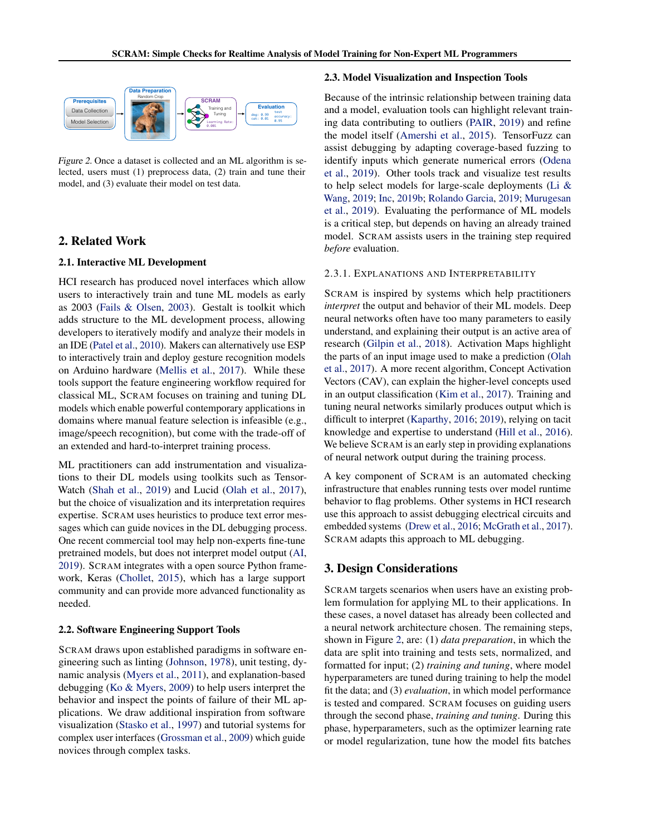

Figure 2. Once a dataset is collected and an ML algorithm is selected, users must (1) preprocess data, (2) train and tune their model, and (3) evaluate their model on test data.

## 2. Related Work

#### 2.1. Interactive ML Development

HCI research has produced novel interfaces which allow users to interactively train and tune ML models as early as 2003 [\(Fails & Olsen,](#page-4-0) [2003\)](#page-4-0). Gestalt is toolkit which adds structure to the ML development process, allowing developers to iteratively modify and analyze their models in an IDE [\(Patel et al.,](#page-5-0) [2010\)](#page-5-0). Makers can alternatively use ESP to interactively train and deploy gesture recognition models on Arduino hardware [\(Mellis et al.,](#page-5-0) [2017\)](#page-5-0). While these tools support the feature engineering workflow required for classical ML, SCRAM focuses on training and tuning DL models which enable powerful contemporary applications in domains where manual feature selection is infeasible (e.g., image/speech recognition), but come with the trade-off of an extended and hard-to-interpret training process.

ML practitioners can add instrumentation and visualizations to their DL models using toolkits such as Tensor-Watch [\(Shah et al.,](#page-5-0) [2019\)](#page-5-0) and Lucid [\(Olah et al.,](#page-5-0) [2017\)](#page-5-0), but the choice of visualization and its interpretation requires expertise. SCRAM uses heuristics to produce text error messages which can guide novices in the DL debugging process. One recent commercial tool may help non-experts fine-tune pretrained models, but does not interpret model output [\(AI,](#page-4-0) [2019\)](#page-4-0). SCRAM integrates with a open source Python framework, Keras [\(Chollet,](#page-4-0) [2015\)](#page-4-0), which has a large support community and can provide more advanced functionality as needed.

#### 2.2. Software Engineering Support Tools

SCRAM draws upon established paradigms in software engineering such as linting [\(Johnson,](#page-4-0) [1978\)](#page-4-0), unit testing, dynamic analysis [\(Myers et al.,](#page-5-0) [2011\)](#page-5-0), and explanation-based debugging [\(Ko & Myers,](#page-5-0) [2009\)](#page-5-0) to help users interpret the behavior and inspect the points of failure of their ML applications. We draw additional inspiration from software visualization [\(Stasko et al.,](#page-5-0) [1997\)](#page-5-0) and tutorial systems for complex user interfaces [\(Grossman et al.,](#page-4-0) [2009\)](#page-4-0) which guide novices through complex tasks.

#### 2.3. Model Visualization and Inspection Tools

Because of the intrinsic relationship between training data and a model, evaluation tools can highlight relevant training data contributing to outliers [\(PAIR,](#page-5-0) [2019\)](#page-5-0) and refine the model itself [\(Amershi et al.,](#page-4-0) [2015\)](#page-4-0). TensorFuzz can assist debugging by adapting coverage-based fuzzing to identify inputs which generate numerical errors [\(Odena](#page-5-0) [et al.,](#page-5-0) [2019\)](#page-5-0). Other tools track and visualize test results to help select models for large-scale deployments [\(Li &](#page-5-0) [Wang,](#page-5-0) [2019;](#page-5-0) [Inc,](#page-4-0) [2019b;](#page-4-0) [Rolando Garcia,](#page-5-0) [2019;](#page-5-0) [Murugesan](#page-5-0) [et al.,](#page-5-0) [2019\)](#page-5-0). Evaluating the performance of ML models is a critical step, but depends on having an already trained model. SCRAM assists users in the training step required *before* evaluation.

#### 2.3.1. EXPLANATIONS AND INTERPRETABILITY

SCRAM is inspired by systems which help practitioners *interpret* the output and behavior of their ML models. Deep neural networks often have too many parameters to easily understand, and explaining their output is an active area of research [\(Gilpin et al.,](#page-4-0) [2018\)](#page-4-0). Activation Maps highlight the parts of an input image used to make a prediction [\(Olah](#page-5-0) [et al.,](#page-5-0) [2017\)](#page-5-0). A more recent algorithm, Concept Activation Vectors (CAV), can explain the higher-level concepts used in an output classification [\(Kim et al.,](#page-4-0) [2017\)](#page-4-0). Training and tuning neural networks similarly produces output which is difficult to interpret [\(Kaparthy,](#page-4-0) [2016;](#page-4-0) [2019\)](#page-4-0), relying on tacit knowledge and expertise to understand [\(Hill et al.,](#page-4-0) [2016\)](#page-4-0). We believe SCRAM is an early step in providing explanations of neural network output during the training process.

A key component of SCRAM is an automated checking infrastructure that enables running tests over model runtime behavior to flag problems. Other systems in HCI research use this approach to assist debugging electrical circuits and embedded systems [\(Drew et al.,](#page-4-0) [2016;](#page-4-0) [McGrath et al.,](#page-5-0) [2017\)](#page-5-0). SCRAM adapts this approach to ML debugging.

#### 3. Design Considerations

SCRAM targets scenarios when users have an existing problem formulation for applying ML to their applications. In these cases, a novel dataset has already been collected and a neural network architecture chosen. The remaining steps, shown in Figure 2, are: (1) *data preparation*, in which the data are split into training and tests sets, normalized, and formatted for input; (2) *training and tuning*, where model hyperparameters are tuned during training to help the model fit the data; and (3) *evaluation*, in which model performance is tested and compared. SCRAM focuses on guiding users through the second phase, *training and tuning*. During this phase, hyperparameters, such as the optimizer learning rate or model regularization, tune how the model fits batches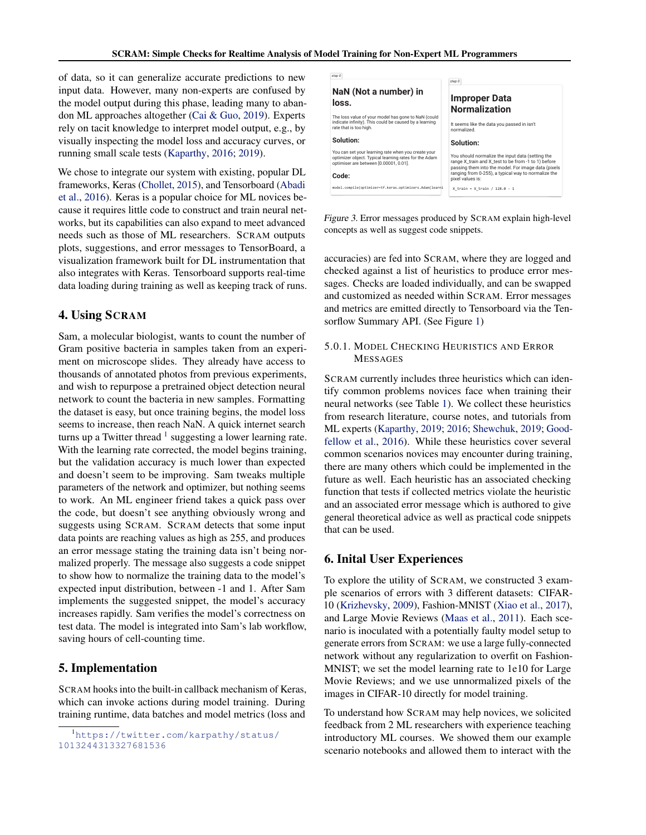of data, so it can generalize accurate predictions to new input data. However, many non-experts are confused by the model output during this phase, leading many to abandon ML approaches altogether [\(Cai & Guo,](#page-4-0) [2019\)](#page-4-0). Experts rely on tacit knowledge to interpret model output, e.g., by visually inspecting the model loss and accuracy curves, or running small scale tests [\(Kaparthy,](#page-4-0) [2016;](#page-4-0) [2019\)](#page-4-0).

We chose to integrate our system with existing, popular DL frameworks, Keras [\(Chollet,](#page-4-0) [2015\)](#page-4-0), and Tensorboard [\(Abadi](#page-4-0) [et al.,](#page-4-0) [2016\)](#page-4-0). Keras is a popular choice for ML novices because it requires little code to construct and train neural networks, but its capabilities can also expand to meet advanced needs such as those of ML researchers. SCRAM outputs plots, suggestions, and error messages to TensorBoard, a visualization framework built for DL instrumentation that also integrates with Keras. Tensorboard supports real-time data loading during training as well as keeping track of runs.

## 4. Using SCRAM

Sam, a molecular biologist, wants to count the number of Gram positive bacteria in samples taken from an experiment on microscope slides. They already have access to thousands of annotated photos from previous experiments, and wish to repurpose a pretrained object detection neural network to count the bacteria in new samples. Formatting the dataset is easy, but once training begins, the model loss seems to increase, then reach NaN. A quick internet search turns up a Twitter thread  $1$  suggesting a lower learning rate. With the learning rate corrected, the model begins training, but the validation accuracy is much lower than expected and doesn't seem to be improving. Sam tweaks multiple parameters of the network and optimizer, but nothing seems to work. An ML engineer friend takes a quick pass over the code, but doesn't see anything obviously wrong and suggests using SCRAM. SCRAM detects that some input data points are reaching values as high as 255, and produces an error message stating the training data isn't being normalized properly. The message also suggests a code snippet to show how to normalize the training data to the model's expected input distribution, between -1 and 1. After Sam implements the suggested snippet, the model's accuracy increases rapidly. Sam verifies the model's correctness on test data. The model is integrated into Sam's lab workflow, saving hours of cell-counting time.

## 5. Implementation

SCRAM hooks into the built-in callback mechanism of Keras, which can invoke actions during model training. During training runtime, data batches and model metrics (loss and



Figure 3. Error messages produced by SCRAM explain high-level concepts as well as suggest code snippets.

accuracies) are fed into SCRAM, where they are logged and checked against a list of heuristics to produce error messages. Checks are loaded individually, and can be swapped and customized as needed within SCRAM. Error messages and metrics are emitted directly to Tensorboard via the Tensorflow Summary API. (See Figure [1\)](#page-0-0)

## 5.0.1. MODEL CHECKING HEURISTICS AND ERROR MESSAGES

SCRAM currently includes three heuristics which can identify common problems novices face when training their neural networks (see Table [1\)](#page-3-0). We collect these heuristics from research literature, course notes, and tutorials from ML experts [\(Kaparthy,](#page-4-0) [2019;](#page-4-0) [2016;](#page-4-0) [Shewchuk,](#page-5-0) [2019;](#page-5-0) [Good](#page-4-0)[fellow et al.,](#page-4-0) [2016\)](#page-4-0). While these heuristics cover several common scenarios novices may encounter during training, there are many others which could be implemented in the future as well. Each heuristic has an associated checking function that tests if collected metrics violate the heuristic and an associated error message which is authored to give general theoretical advice as well as practical code snippets that can be used.

#### 6. Inital User Experiences

To explore the utility of SCRAM, we constructed 3 example scenarios of errors with 3 different datasets: CIFAR-10 [\(Krizhevsky,](#page-5-0) [2009\)](#page-5-0), Fashion-MNIST [\(Xiao et al.,](#page-5-0) [2017\)](#page-5-0), and Large Movie Reviews [\(Maas et al.,](#page-5-0) [2011\)](#page-5-0). Each scenario is inoculated with a potentially faulty model setup to generate errors from SCRAM: we use a large fully-connected network without any regularization to overfit on Fashion-MNIST; we set the model learning rate to 1e10 for Large Movie Reviews; and we use unnormalized pixels of the images in CIFAR-10 directly for model training.

To understand how SCRAM may help novices, we solicited feedback from 2 ML researchers with experience teaching introductory ML courses. We showed them our example scenario notebooks and allowed them to interact with the

<sup>1</sup>[https://twitter.com/karpathy/status/](https://twitter.com/karpathy/status/1013244313327681536) [1013244313327681536](https://twitter.com/karpathy/status/1013244313327681536)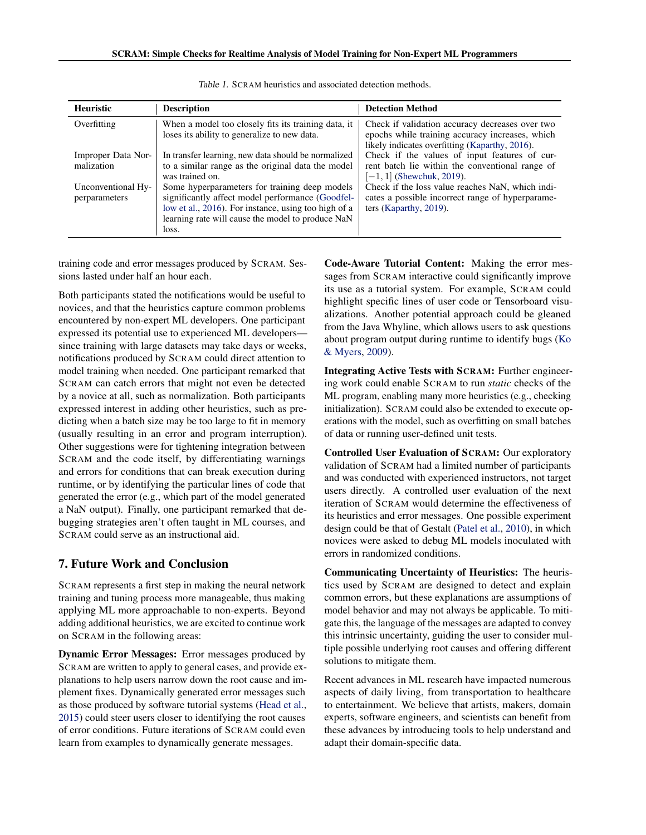<span id="page-3-0"></span>

| <b>Heuristic</b>                    | <b>Description</b>                                                                                                                                                                                                      | <b>Detection Method</b>                                                                                                                              |
|-------------------------------------|-------------------------------------------------------------------------------------------------------------------------------------------------------------------------------------------------------------------------|------------------------------------------------------------------------------------------------------------------------------------------------------|
| Overfitting                         | When a model too closely fits its training data, it<br>loses its ability to generalize to new data.                                                                                                                     | Check if validation accuracy decreases over two<br>epochs while training accuracy increases, which<br>likely indicates overfitting (Kaparthy, 2016). |
| Improper Data Nor-<br>malization    | In transfer learning, new data should be normalized<br>to a similar range as the original data the model<br>was trained on.                                                                                             | Check if the values of input features of cur-<br>rent batch lie within the conventional range of<br>$[-1, 1]$ (Shewchuk, 2019).                      |
| Unconventional Hy-<br>perparameters | Some hyperparameters for training deep models<br>significantly affect model performance (Goodfel-<br>low et al., 2016). For instance, using too high of a<br>learning rate will cause the model to produce NaN<br>loss. | Check if the loss value reaches NaN, which indi-<br>cates a possible incorrect range of hyperparame-<br>ters (Kaparthy, 2019).                       |

| Table 1. SCRAM heuristics and associated detection methods. |
|-------------------------------------------------------------|
|-------------------------------------------------------------|

training code and error messages produced by SCRAM. Sessions lasted under half an hour each.

Both participants stated the notifications would be useful to novices, and that the heuristics capture common problems encountered by non-expert ML developers. One participant expressed its potential use to experienced ML developers since training with large datasets may take days or weeks, notifications produced by SCRAM could direct attention to model training when needed. One participant remarked that SCRAM can catch errors that might not even be detected by a novice at all, such as normalization. Both participants expressed interest in adding other heuristics, such as predicting when a batch size may be too large to fit in memory (usually resulting in an error and program interruption). Other suggestions were for tightening integration between SCRAM and the code itself, by differentiating warnings and errors for conditions that can break execution during runtime, or by identifying the particular lines of code that generated the error (e.g., which part of the model generated a NaN output). Finally, one participant remarked that debugging strategies aren't often taught in ML courses, and SCRAM could serve as an instructional aid.

## 7. Future Work and Conclusion

SCRAM represents a first step in making the neural network training and tuning process more manageable, thus making applying ML more approachable to non-experts. Beyond adding additional heuristics, we are excited to continue work on SCRAM in the following areas:

Dynamic Error Messages: Error messages produced by SCRAM are written to apply to general cases, and provide explanations to help users narrow down the root cause and implement fixes. Dynamically generated error messages such as those produced by software tutorial systems [\(Head et al.,](#page-4-0) [2015\)](#page-4-0) could steer users closer to identifying the root causes of error conditions. Future iterations of SCRAM could even learn from examples to dynamically generate messages.

Code-Aware Tutorial Content: Making the error messages from SCRAM interactive could significantly improve its use as a tutorial system. For example, SCRAM could highlight specific lines of user code or Tensorboard visualizations. Another potential approach could be gleaned from the Java Whyline, which allows users to ask questions about program output during runtime to identify bugs [\(Ko](#page-5-0) [& Myers,](#page-5-0) [2009\)](#page-5-0).

Integrating Active Tests with SCRAM: Further engineering work could enable SCRAM to run *static* checks of the ML program, enabling many more heuristics (e.g., checking initialization). SCRAM could also be extended to execute operations with the model, such as overfitting on small batches of data or running user-defined unit tests.

Controlled User Evaluation of SCRAM: Our exploratory validation of SCRAM had a limited number of participants and was conducted with experienced instructors, not target users directly. A controlled user evaluation of the next iteration of SCRAM would determine the effectiveness of its heuristics and error messages. One possible experiment design could be that of Gestalt [\(Patel et al.,](#page-5-0) [2010\)](#page-5-0), in which novices were asked to debug ML models inoculated with errors in randomized conditions.

Communicating Uncertainty of Heuristics: The heuristics used by SCRAM are designed to detect and explain common errors, but these explanations are assumptions of model behavior and may not always be applicable. To mitigate this, the language of the messages are adapted to convey this intrinsic uncertainty, guiding the user to consider multiple possible underlying root causes and offering different solutions to mitigate them.

Recent advances in ML research have impacted numerous aspects of daily living, from transportation to healthcare to entertainment. We believe that artists, makers, domain experts, software engineers, and scientists can benefit from these advances by introducing tools to help understand and adapt their domain-specific data.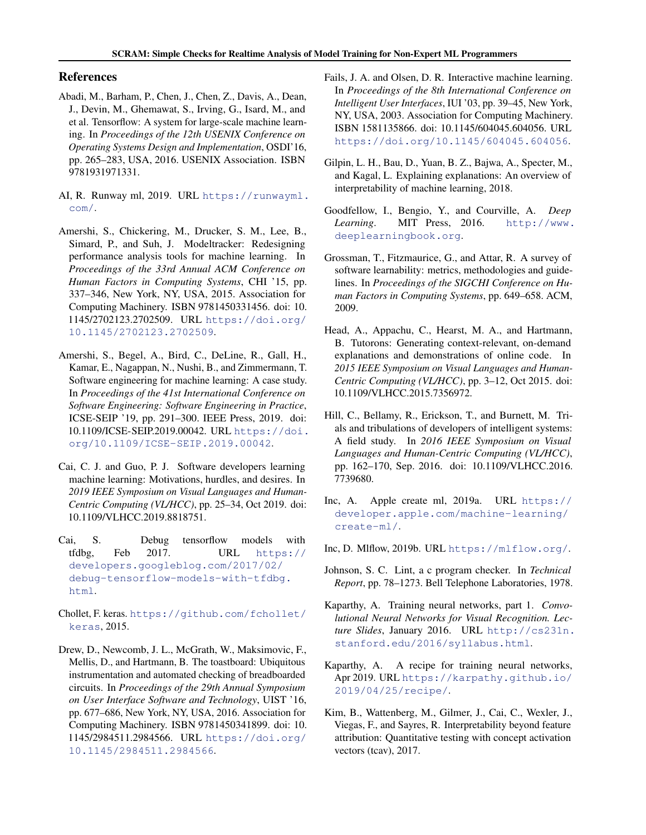## <span id="page-4-0"></span>References

- Abadi, M., Barham, P., Chen, J., Chen, Z., Davis, A., Dean, J., Devin, M., Ghemawat, S., Irving, G., Isard, M., and et al. Tensorflow: A system for large-scale machine learning. In *Proceedings of the 12th USENIX Conference on Operating Systems Design and Implementation*, OSDI'16, pp. 265–283, USA, 2016. USENIX Association. ISBN 9781931971331.
- AI, R. Runway ml, 2019. URL [https://runwayml.](https://runwayml.com/) [com/](https://runwayml.com/).
- Amershi, S., Chickering, M., Drucker, S. M., Lee, B., Simard, P., and Suh, J. Modeltracker: Redesigning performance analysis tools for machine learning. In *Proceedings of the 33rd Annual ACM Conference on Human Factors in Computing Systems*, CHI '15, pp. 337–346, New York, NY, USA, 2015. Association for Computing Machinery. ISBN 9781450331456. doi: 10. 1145/2702123.2702509. URL [https://doi.org/](https://doi.org/10.1145/2702123.2702509) [10.1145/2702123.2702509](https://doi.org/10.1145/2702123.2702509).
- Amershi, S., Begel, A., Bird, C., DeLine, R., Gall, H., Kamar, E., Nagappan, N., Nushi, B., and Zimmermann, T. Software engineering for machine learning: A case study. In *Proceedings of the 41st International Conference on Software Engineering: Software Engineering in Practice*, ICSE-SEIP '19, pp. 291–300. IEEE Press, 2019. doi: 10.1109/ICSE-SEIP.2019.00042. URL [https://doi.](https://doi.org/10.1109/ICSE-SEIP.2019.00042) [org/10.1109/ICSE-SEIP.2019.00042](https://doi.org/10.1109/ICSE-SEIP.2019.00042).
- Cai, C. J. and Guo, P. J. Software developers learning machine learning: Motivations, hurdles, and desires. In *2019 IEEE Symposium on Visual Languages and Human-Centric Computing (VL/HCC)*, pp. 25–34, Oct 2019. doi: 10.1109/VLHCC.2019.8818751.
- Cai, S. Debug tensorflow models with tfdbg, Feb 2017. URL [https://](https://developers.googleblog.com/2017/02/debug-tensorflow-models-with-tfdbg.html) [developers.googleblog.com/2017/02/](https://developers.googleblog.com/2017/02/debug-tensorflow-models-with-tfdbg.html) [debug-tensorflow-models-with-tfdbg.](https://developers.googleblog.com/2017/02/debug-tensorflow-models-with-tfdbg.html) [html](https://developers.googleblog.com/2017/02/debug-tensorflow-models-with-tfdbg.html).
- Chollet, F. keras. [https://github.com/fchollet/](https://github.com/fchollet/keras) [keras](https://github.com/fchollet/keras), 2015.
- Drew, D., Newcomb, J. L., McGrath, W., Maksimovic, F., Mellis, D., and Hartmann, B. The toastboard: Ubiquitous instrumentation and automated checking of breadboarded circuits. In *Proceedings of the 29th Annual Symposium on User Interface Software and Technology*, UIST '16, pp. 677–686, New York, NY, USA, 2016. Association for Computing Machinery. ISBN 9781450341899. doi: 10. 1145/2984511.2984566. URL [https://doi.org/](https://doi.org/10.1145/2984511.2984566) [10.1145/2984511.2984566](https://doi.org/10.1145/2984511.2984566).
- Fails, J. A. and Olsen, D. R. Interactive machine learning. In *Proceedings of the 8th International Conference on Intelligent User Interfaces*, IUI '03, pp. 39–45, New York, NY, USA, 2003. Association for Computing Machinery. ISBN 1581135866. doi: 10.1145/604045.604056. URL <https://doi.org/10.1145/604045.604056>.
- Gilpin, L. H., Bau, D., Yuan, B. Z., Bajwa, A., Specter, M., and Kagal, L. Explaining explanations: An overview of interpretability of machine learning, 2018.
- Goodfellow, I., Bengio, Y., and Courville, A. *Deep Learning*. MIT Press, 2016. [http://www.](http://www.deeplearningbook.org) [deeplearningbook.org](http://www.deeplearningbook.org).
- Grossman, T., Fitzmaurice, G., and Attar, R. A survey of software learnability: metrics, methodologies and guidelines. In *Proceedings of the SIGCHI Conference on Human Factors in Computing Systems*, pp. 649–658. ACM, 2009.
- Head, A., Appachu, C., Hearst, M. A., and Hartmann, B. Tutorons: Generating context-relevant, on-demand explanations and demonstrations of online code. In *2015 IEEE Symposium on Visual Languages and Human-Centric Computing (VL/HCC)*, pp. 3–12, Oct 2015. doi: 10.1109/VLHCC.2015.7356972.
- Hill, C., Bellamy, R., Erickson, T., and Burnett, M. Trials and tribulations of developers of intelligent systems: A field study. In *2016 IEEE Symposium on Visual Languages and Human-Centric Computing (VL/HCC)*, pp. 162–170, Sep. 2016. doi: 10.1109/VLHCC.2016. 7739680.
- Inc, A. Apple create ml, 2019a. URL [https://](https://developer.apple.com/machine-learning/create-ml/) [developer.apple.com/machine-learning/](https://developer.apple.com/machine-learning/create-ml/) [create-ml/](https://developer.apple.com/machine-learning/create-ml/).
- Inc, D. Mlflow, 2019b. URL <https://mlflow.org/>.
- Johnson, S. C. Lint, a c program checker. In *Technical Report*, pp. 78–1273. Bell Telephone Laboratories, 1978.
- Kaparthy, A. Training neural networks, part 1. *Convolutional Neural Networks for Visual Recognition. Lecture Slides*, January 2016. URL [http://cs231n.](http://cs231n.stanford.edu/2016/syllabus.html) [stanford.edu/2016/syllabus.html](http://cs231n.stanford.edu/2016/syllabus.html).
- Kaparthy, A. A recipe for training neural networks, Apr 2019. URL [https://karpathy.github.io/](https://karpathy.github.io/2019/04/25/recipe/) [2019/04/25/recipe/](https://karpathy.github.io/2019/04/25/recipe/).
- Kim, B., Wattenberg, M., Gilmer, J., Cai, C., Wexler, J., Viegas, F., and Sayres, R. Interpretability beyond feature attribution: Quantitative testing with concept activation vectors (tcav), 2017.